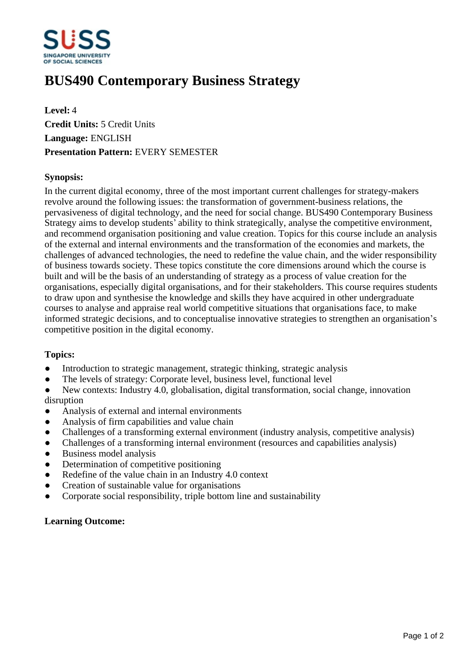

# **BUS490 Contemporary Business Strategy**

**Level:** 4 **Credit Units:** 5 Credit Units **Language:** ENGLISH **Presentation Pattern:** EVERY SEMESTER

# **Synopsis:**

In the current digital economy, three of the most important current challenges for strategy-makers revolve around the following issues: the transformation of government-business relations, the pervasiveness of digital technology, and the need for social change. BUS490 Contemporary Business Strategy aims to develop students' ability to think strategically, analyse the competitive environment, and recommend organisation positioning and value creation. Topics for this course include an analysis of the external and internal environments and the transformation of the economies and markets, the challenges of advanced technologies, the need to redefine the value chain, and the wider responsibility of business towards society. These topics constitute the core dimensions around which the course is built and will be the basis of an understanding of strategy as a process of value creation for the organisations, especially digital organisations, and for their stakeholders. This course requires students to draw upon and synthesise the knowledge and skills they have acquired in other undergraduate courses to analyse and appraise real world competitive situations that organisations face, to make informed strategic decisions, and to conceptualise innovative strategies to strengthen an organisation's competitive position in the digital economy.

### **Topics:**

- Introduction to strategic management, strategic thinking, strategic analysis
- The levels of strategy: Corporate level, business level, functional level

New contexts: Industry 4.0, globalisation, digital transformation, social change, innovation disruption

- ƔAnalysis of external and internal environments
- ƔAnalysis of firm capabilities and value chain
- ƔChallenges of a transforming external environment (industry analysis, competitive analysis)
- Challenges of a transforming internal environment (resources and capabilities analysis)
- Business model analysis
- Determination of competitive positioning
- Redefine of the value chain in an Industry 4.0 context
- Creation of sustainable value for organisations
- ƔCorporate social responsibility, triple bottom line and sustainability

### **Learning Outcome:**